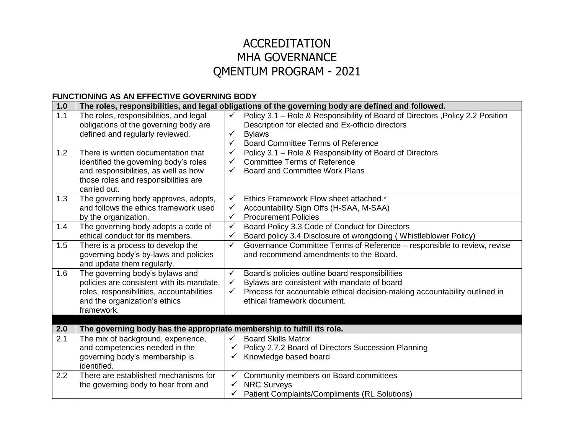# ACCREDITATION MHA GOVERNANCE QMENTUM PROGRAM - 2021

#### **FUNCTIONING AS AN EFFECTIVE GOVERNING BODY**

| 1.0 |                                                                                                                                                                              | The roles, responsibilities, and legal obligations of the governing body are defined and followed.                                                                                                                                                          |
|-----|------------------------------------------------------------------------------------------------------------------------------------------------------------------------------|-------------------------------------------------------------------------------------------------------------------------------------------------------------------------------------------------------------------------------------------------------------|
| 1.1 | The roles, responsibilities, and legal<br>obligations of the governing body are                                                                                              | Policy 3.1 - Role & Responsibility of Board of Directors, Policy 2.2 Position<br>$\checkmark$<br>Description for elected and Ex-officio directors                                                                                                           |
|     | defined and regularly reviewed.                                                                                                                                              | <b>Bylaws</b><br>✓<br><b>Board Committee Terms of Reference</b><br>✓                                                                                                                                                                                        |
| 1.2 | There is written documentation that<br>identified the governing body's roles<br>and responsibilities, as well as how<br>those roles and responsibilities are<br>carried out. | $\checkmark$<br>Policy 3.1 - Role & Responsibility of Board of Directors<br><b>Committee Terms of Reference</b><br>$\checkmark$<br><b>Board and Committee Work Plans</b><br>$\checkmark$                                                                    |
| 1.3 | The governing body approves, adopts,<br>and follows the ethics framework used<br>by the organization.                                                                        | Ethics Framework Flow sheet attached.*<br>$\checkmark$<br>$\checkmark$<br>Accountability Sign Offs (H-SAA, M-SAA)<br><b>Procurement Policies</b><br>$\checkmark$                                                                                            |
| 1.4 | The governing body adopts a code of<br>ethical conduct for its members.                                                                                                      | Board Policy 3.3 Code of Conduct for Directors<br>$\checkmark$<br>Board policy 3.4 Disclosure of wrongdoing (Whistleblower Policy)<br>✓                                                                                                                     |
| 1.5 | There is a process to develop the<br>governing body's by-laws and policies<br>and update them regularly.                                                                     | Governance Committee Terms of Reference - responsible to review, revise<br>$\checkmark$<br>and recommend amendments to the Board.                                                                                                                           |
| 1.6 | The governing body's bylaws and<br>policies are consistent with its mandate,<br>roles, responsibilities, accountabilities<br>and the organization's ethics<br>framework.     | Board's policies outline board responsibilities<br>$\checkmark$<br>Bylaws are consistent with mandate of board<br>$\checkmark$<br>Process for accountable ethical decision-making accountability outlined in<br>$\checkmark$<br>ethical framework document. |
|     |                                                                                                                                                                              |                                                                                                                                                                                                                                                             |
| 2.0 | The governing body has the appropriate membership to fulfill its role.                                                                                                       |                                                                                                                                                                                                                                                             |
| 2.1 | The mix of background, experience,<br>and competencies needed in the<br>governing body's membership is<br>identified.                                                        | <b>Board Skills Matrix</b><br>$\checkmark$<br>Policy 2.7.2 Board of Directors Succession Planning<br>$\checkmark$<br>Knowledge based board                                                                                                                  |
| 2.2 | There are established mechanisms for<br>the governing body to hear from and                                                                                                  | Community members on Board committees<br>$\checkmark$<br><b>NRC Surveys</b><br>Patient Complaints/Compliments (RL Solutions)                                                                                                                                |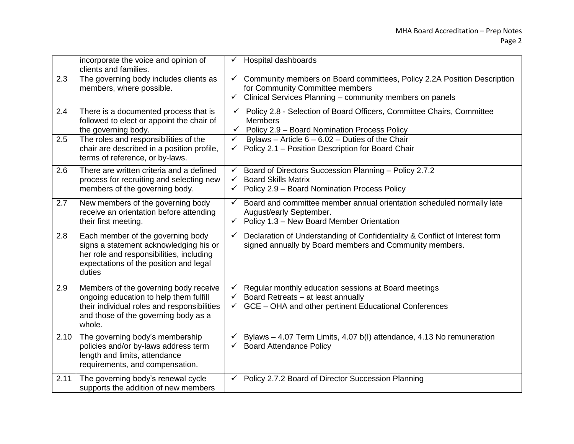|      | incorporate the voice and opinion of<br>clients and families.                                                                                                                    | Hospital dashboards                                                                                                                                                                                    |
|------|----------------------------------------------------------------------------------------------------------------------------------------------------------------------------------|--------------------------------------------------------------------------------------------------------------------------------------------------------------------------------------------------------|
| 2.3  | The governing body includes clients as<br>members, where possible.                                                                                                               | Community members on Board committees, Policy 2.2A Position Description<br>$\checkmark$<br>for Community Committee members<br>Clinical Services Planning - community members on panels<br>$\checkmark$ |
| 2.4  | There is a documented process that is<br>followed to elect or appoint the chair of<br>the governing body.                                                                        | Policy 2.8 - Selection of Board Officers, Committee Chairs, Committee<br>$\checkmark$<br><b>Members</b><br>Policy 2.9 - Board Nomination Process Policy<br>$\checkmark$                                |
| 2.5  | The roles and responsibilities of the<br>chair are described in a position profile,<br>terms of reference, or by-laws.                                                           | Bylaws - Article $6 - 6.02$ - Duties of the Chair<br>$\checkmark$<br>Policy 2.1 - Position Description for Board Chair<br>$\checkmark$                                                                 |
| 2.6  | There are written criteria and a defined<br>process for recruiting and selecting new<br>members of the governing body.                                                           | Board of Directors Succession Planning - Policy 2.7.2<br>$\checkmark$<br><b>Board Skills Matrix</b><br>$\checkmark$<br>Policy 2.9 - Board Nomination Process Policy<br>$\checkmark$                    |
| 2.7  | New members of the governing body<br>receive an orientation before attending<br>their first meeting.                                                                             | Board and committee member annual orientation scheduled normally late<br>$\checkmark$<br>August/early September.<br>$\checkmark$ Policy 1.3 – New Board Member Orientation                             |
| 2.8  | Each member of the governing body<br>signs a statement acknowledging his or<br>her role and responsibilities, including<br>expectations of the position and legal<br>duties      | Declaration of Understanding of Confidentiality & Conflict of Interest form<br>$\checkmark$<br>signed annually by Board members and Community members.                                                 |
| 2.9  | Members of the governing body receive<br>ongoing education to help them fulfill<br>their individual roles and responsibilities<br>and those of the governing body as a<br>whole. | Regular monthly education sessions at Board meetings<br>Board Retreats - at least annually<br>GCE - OHA and other pertinent Educational Conferences                                                    |
| 2.10 | The governing body's membership<br>policies and/or by-laws address term<br>length and limits, attendance<br>requirements, and compensation.                                      | Bylaws - 4.07 Term Limits, 4.07 b(I) attendance, 4.13 No remuneration<br><b>Board Attendance Policy</b><br>✓                                                                                           |
| 2.11 | The governing body's renewal cycle<br>supports the addition of new members                                                                                                       | Policy 2.7.2 Board of Director Succession Planning<br>✓                                                                                                                                                |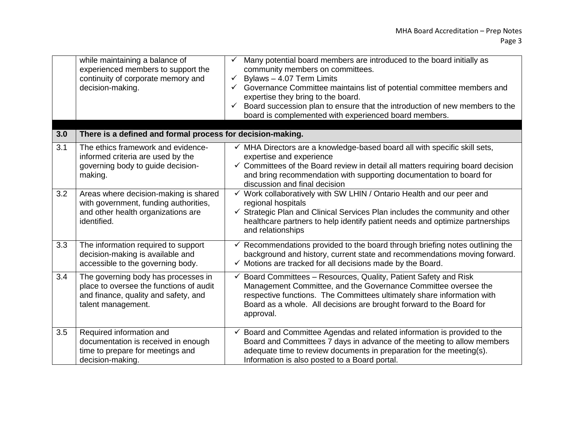|     | while maintaining a balance of<br>experienced members to support the<br>continuity of corporate memory and<br>decision-making.               | Many potential board members are introduced to the board initially as<br>community members on committees.<br>Bylaws - 4.07 Term Limits<br>$\checkmark$<br>Governance Committee maintains list of potential committee members and<br>expertise they bring to the board.<br>Board succession plan to ensure that the introduction of new members to the<br>board is complemented with experienced board members. |
|-----|----------------------------------------------------------------------------------------------------------------------------------------------|----------------------------------------------------------------------------------------------------------------------------------------------------------------------------------------------------------------------------------------------------------------------------------------------------------------------------------------------------------------------------------------------------------------|
| 3.0 | There is a defined and formal process for decision-making.                                                                                   |                                                                                                                                                                                                                                                                                                                                                                                                                |
| 3.1 | The ethics framework and evidence-<br>informed criteria are used by the<br>governing body to guide decision-<br>making.                      | √ MHA Directors are a knowledge-based board all with specific skill sets,<br>expertise and experience<br>$\checkmark$ Committees of the Board review in detail all matters requiring board decision<br>and bring recommendation with supporting documentation to board for<br>discussion and final decision                                                                                                    |
| 3.2 | Areas where decision-making is shared<br>with government, funding authorities,<br>and other health organizations are<br>identified.          | Work collaboratively with SW LHIN / Ontario Health and our peer and<br>$\checkmark$<br>regional hospitals<br>$\checkmark$ Strategic Plan and Clinical Services Plan includes the community and other<br>healthcare partners to help identify patient needs and optimize partnerships<br>and relationships                                                                                                      |
| 3.3 | The information required to support<br>decision-making is available and<br>accessible to the governing body.                                 | Recommendations provided to the board through briefing notes outlining the<br>✓<br>background and history, current state and recommendations moving forward.<br>$\checkmark$ Motions are tracked for all decisions made by the Board.                                                                                                                                                                          |
| 3.4 | The governing body has processes in<br>place to oversee the functions of audit<br>and finance, quality and safety, and<br>talent management. | Board Committees - Resources, Quality, Patient Safety and Risk<br>Management Committee, and the Governance Committee oversee the<br>respective functions. The Committees ultimately share information with<br>Board as a whole. All decisions are brought forward to the Board for<br>approval.                                                                                                                |
| 3.5 | Required information and<br>documentation is received in enough<br>time to prepare for meetings and<br>decision-making.                      | Board and Committee Agendas and related information is provided to the<br>Board and Committees 7 days in advance of the meeting to allow members<br>adequate time to review documents in preparation for the meeting(s).<br>Information is also posted to a Board portal.                                                                                                                                      |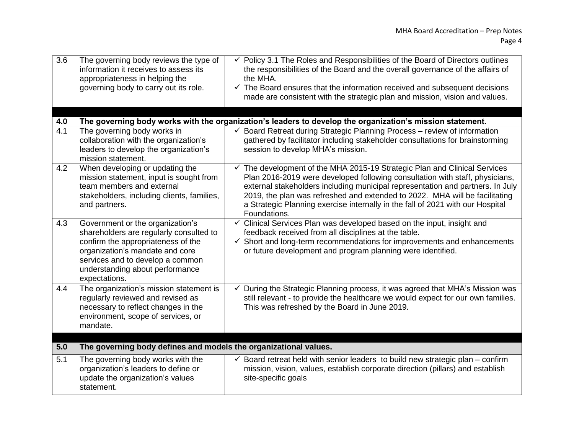| $\overline{3.6}$        | The governing body reviews the type of<br>information it receives to assess its<br>appropriateness in helping the<br>governing body to carry out its role.                                                                                   | Policy 3.1 The Roles and Responsibilities of the Board of Directors outlines<br>the responsibilities of the Board and the overall governance of the affairs of<br>the MHA.<br>$\checkmark$ The Board ensures that the information received and subsequent decisions<br>made are consistent with the strategic plan and mission, vision and values.                                                                                      |
|-------------------------|----------------------------------------------------------------------------------------------------------------------------------------------------------------------------------------------------------------------------------------------|-----------------------------------------------------------------------------------------------------------------------------------------------------------------------------------------------------------------------------------------------------------------------------------------------------------------------------------------------------------------------------------------------------------------------------------------|
|                         |                                                                                                                                                                                                                                              |                                                                                                                                                                                                                                                                                                                                                                                                                                         |
| 4.0<br>$\overline{4.1}$ | The governing body works in                                                                                                                                                                                                                  | The governing body works with the organization's leaders to develop the organization's mission statement.<br>Board Retreat during Strategic Planning Process - review of information<br>✓                                                                                                                                                                                                                                               |
|                         | collaboration with the organization's<br>leaders to develop the organization's<br>mission statement.                                                                                                                                         | gathered by facilitator including stakeholder consultations for brainstorming<br>session to develop MHA's mission.                                                                                                                                                                                                                                                                                                                      |
| 4.2                     | When developing or updating the<br>mission statement, input is sought from<br>team members and external<br>stakeholders, including clients, families,<br>and partners.                                                                       | $\checkmark$ The development of the MHA 2015-19 Strategic Plan and Clinical Services<br>Plan 2016-2019 were developed following consultation with staff, physicians,<br>external stakeholders including municipal representation and partners. In July<br>2019, the plan was refreshed and extended to 2022. MHA will be facilitating<br>a Strategic Planning exercise internally in the fall of 2021 with our Hospital<br>Foundations. |
| 4.3                     | Government or the organization's<br>shareholders are regularly consulted to<br>confirm the appropriateness of the<br>organization's mandate and core<br>services and to develop a common<br>understanding about performance<br>expectations. | Clinical Services Plan was developed based on the input, insight and<br>$\checkmark$<br>feedback received from all disciplines at the table.<br>$\checkmark$ Short and long-term recommendations for improvements and enhancements<br>or future development and program planning were identified.                                                                                                                                       |
| 4.4                     | The organization's mission statement is<br>regularly reviewed and revised as<br>necessary to reflect changes in the<br>environment, scope of services, or<br>mandate.                                                                        | During the Strategic Planning process, it was agreed that MHA's Mission was<br>still relevant - to provide the healthcare we would expect for our own families.<br>This was refreshed by the Board in June 2019.                                                                                                                                                                                                                        |
| 5.0                     | The governing body defines and models the organizational values.                                                                                                                                                                             |                                                                                                                                                                                                                                                                                                                                                                                                                                         |
| 5.1                     | The governing body works with the<br>organization's leaders to define or<br>update the organization's values<br>statement.                                                                                                                   | Board retreat held with senior leaders to build new strategic plan – confirm<br>✓<br>mission, vision, values, establish corporate direction (pillars) and establish<br>site-specific goals                                                                                                                                                                                                                                              |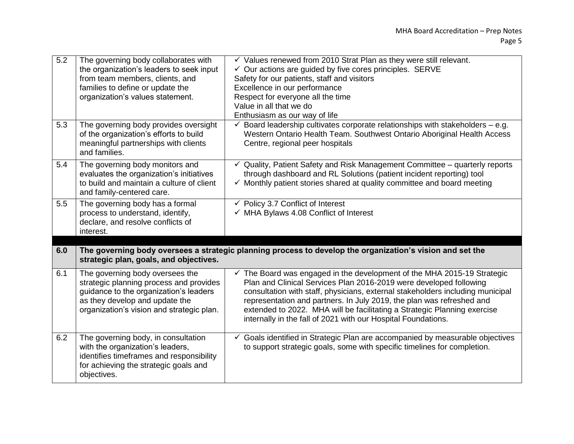| 5.2 | The governing body collaborates with<br>the organization's leaders to seek input<br>from team members, clients, and<br>families to define or update the<br>organization's values statement.         | $\checkmark$ Values renewed from 2010 Strat Plan as they were still relevant.<br>$\checkmark$ Our actions are guided by five cores principles. SERVE<br>Safety for our patients, staff and visitors<br>Excellence in our performance<br>Respect for everyone all the time<br>Value in all that we do<br>Enthusiasm as our way of life                                                                                                                 |
|-----|-----------------------------------------------------------------------------------------------------------------------------------------------------------------------------------------------------|-------------------------------------------------------------------------------------------------------------------------------------------------------------------------------------------------------------------------------------------------------------------------------------------------------------------------------------------------------------------------------------------------------------------------------------------------------|
| 5.3 | The governing body provides oversight<br>of the organization's efforts to build<br>meaningful partnerships with clients<br>and families.                                                            | $\checkmark$ Board leadership cultivates corporate relationships with stakeholders – e.g.<br>Western Ontario Health Team. Southwest Ontario Aboriginal Health Access<br>Centre, regional peer hospitals                                                                                                                                                                                                                                               |
| 5.4 | The governing body monitors and<br>evaluates the organization's initiatives<br>to build and maintain a culture of client<br>and family-centered care.                                               | Quality, Patient Safety and Risk Management Committee – quarterly reports<br>through dashboard and RL Solutions (patient incident reporting) tool<br>✓ Monthly patient stories shared at quality committee and board meeting                                                                                                                                                                                                                          |
| 5.5 | The governing body has a formal<br>process to understand, identify,<br>declare, and resolve conflicts of<br>interest.                                                                               | ← Policy 3.7 Conflict of Interest<br>$\checkmark$ MHA Bylaws 4.08 Conflict of Interest                                                                                                                                                                                                                                                                                                                                                                |
| 6.0 | strategic plan, goals, and objectives.                                                                                                                                                              | The governing body oversees a strategic planning process to develop the organization's vision and set the                                                                                                                                                                                                                                                                                                                                             |
| 6.1 | The governing body oversees the<br>strategic planning process and provides<br>guidance to the organization's leaders<br>as they develop and update the<br>organization's vision and strategic plan. | √ The Board was engaged in the development of the MHA 2015-19 Strategic<br>Plan and Clinical Services Plan 2016-2019 were developed following<br>consultation with staff, physicians, external stakeholders including municipal<br>representation and partners. In July 2019, the plan was refreshed and<br>extended to 2022. MHA will be facilitating a Strategic Planning exercise<br>internally in the fall of 2021 with our Hospital Foundations. |
| 6.2 | The governing body, in consultation<br>with the organization's leaders,<br>identifies timeframes and responsibility<br>for achieving the strategic goals and<br>objectives.                         | $\checkmark$ Goals identified in Strategic Plan are accompanied by measurable objectives<br>to support strategic goals, some with specific timelines for completion.                                                                                                                                                                                                                                                                                  |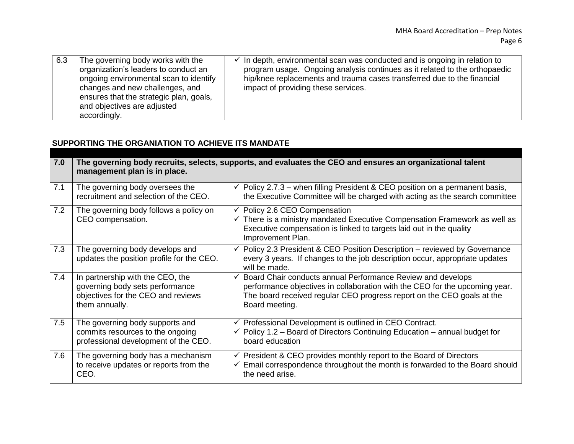| 6.3 | The governing body works with the<br>organization's leaders to conduct an<br>ongoing environmental scan to identify<br>changes and new challenges, and<br>ensures that the strategic plan, goals,<br>and objectives are adjusted<br>accordingly. | In depth, environmental scan was conducted and is ongoing in relation to<br>program usage. Ongoing analysis continues as it related to the orthopaedic<br>hip/knee replacements and trauma cases transferred due to the financial<br>impact of providing these services. |
|-----|--------------------------------------------------------------------------------------------------------------------------------------------------------------------------------------------------------------------------------------------------|--------------------------------------------------------------------------------------------------------------------------------------------------------------------------------------------------------------------------------------------------------------------------|
|-----|--------------------------------------------------------------------------------------------------------------------------------------------------------------------------------------------------------------------------------------------------|--------------------------------------------------------------------------------------------------------------------------------------------------------------------------------------------------------------------------------------------------------------------------|

## **SUPPORTING THE ORGANIATION TO ACHIEVE ITS MANDATE**

| 7.0 | management plan is in place.                                                                                                | The governing body recruits, selects, supports, and evaluates the CEO and ensures an organizational talent                                                                                                                             |
|-----|-----------------------------------------------------------------------------------------------------------------------------|----------------------------------------------------------------------------------------------------------------------------------------------------------------------------------------------------------------------------------------|
| 7.1 | The governing body oversees the<br>recruitment and selection of the CEO.                                                    | $\checkmark$ Policy 2.7.3 – when filling President & CEO position on a permanent basis,<br>the Executive Committee will be charged with acting as the search committee                                                                 |
| 7.2 | The governing body follows a policy on<br>CEO compensation.                                                                 | $\checkmark$ Policy 2.6 CEO Compensation<br>$\checkmark$ There is a ministry mandated Executive Compensation Framework as well as<br>Executive compensation is linked to targets laid out in the quality<br>Improvement Plan.          |
| 7.3 | The governing body develops and<br>updates the position profile for the CEO.                                                | $\checkmark$ Policy 2.3 President & CEO Position Description – reviewed by Governance<br>every 3 years. If changes to the job description occur, appropriate updates<br>will be made.                                                  |
| 7.4 | In partnership with the CEO, the<br>governing body sets performance<br>objectives for the CEO and reviews<br>them annually. | Board Chair conducts annual Performance Review and develops<br>performance objectives in collaboration with the CEO for the upcoming year.<br>The board received regular CEO progress report on the CEO goals at the<br>Board meeting. |
| 7.5 | The governing body supports and<br>commits resources to the ongoing<br>professional development of the CEO.                 | $\checkmark$ Professional Development is outlined in CEO Contract.<br>$\checkmark$ Policy 1.2 – Board of Directors Continuing Education – annual budget for<br>board education                                                         |
| 7.6 | The governing body has a mechanism<br>to receive updates or reports from the<br>CEO.                                        | $\checkmark$ President & CEO provides monthly report to the Board of Directors<br>$\checkmark$ Email correspondence throughout the month is forwarded to the Board should<br>the need arise.                                           |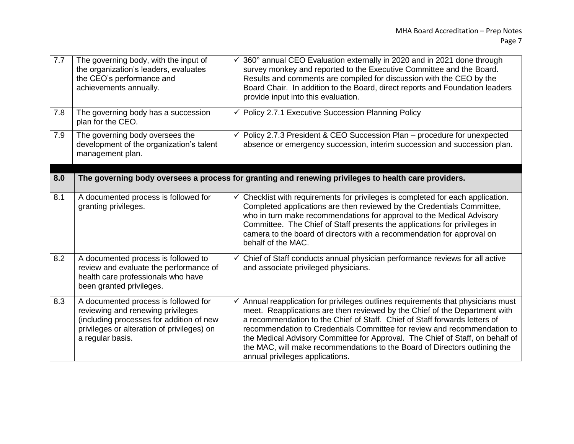| 7.7 | The governing body, with the input of<br>the organization's leaders, evaluates<br>the CEO's performance and<br>achievements annually.                                                   | 360° annual CEO Evaluation externally in 2020 and in 2021 done through<br>survey monkey and reported to the Executive Committee and the Board.<br>Results and comments are compiled for discussion with the CEO by the<br>Board Chair. In addition to the Board, direct reports and Foundation leaders<br>provide input into this evaluation.                                                                                                                                                                            |
|-----|-----------------------------------------------------------------------------------------------------------------------------------------------------------------------------------------|--------------------------------------------------------------------------------------------------------------------------------------------------------------------------------------------------------------------------------------------------------------------------------------------------------------------------------------------------------------------------------------------------------------------------------------------------------------------------------------------------------------------------|
| 7.8 | The governing body has a succession<br>plan for the CEO.                                                                                                                                | $\checkmark$ Policy 2.7.1 Executive Succession Planning Policy                                                                                                                                                                                                                                                                                                                                                                                                                                                           |
| 7.9 | The governing body oversees the<br>development of the organization's talent<br>management plan.                                                                                         | $\checkmark$ Policy 2.7.3 President & CEO Succession Plan - procedure for unexpected<br>absence or emergency succession, interim succession and succession plan.                                                                                                                                                                                                                                                                                                                                                         |
|     |                                                                                                                                                                                         |                                                                                                                                                                                                                                                                                                                                                                                                                                                                                                                          |
| 8.0 |                                                                                                                                                                                         | The governing body oversees a process for granting and renewing privileges to health care providers.                                                                                                                                                                                                                                                                                                                                                                                                                     |
| 8.1 | A documented process is followed for<br>granting privileges.                                                                                                                            | Checklist with requirements for privileges is completed for each application.<br>✓<br>Completed applications are then reviewed by the Credentials Committee,<br>who in turn make recommendations for approval to the Medical Advisory<br>Committee. The Chief of Staff presents the applications for privileges in<br>camera to the board of directors with a recommendation for approval on<br>behalf of the MAC.                                                                                                       |
| 8.2 | A documented process is followed to<br>review and evaluate the performance of<br>health care professionals who have<br>been granted privileges.                                         | $\overline{\checkmark}$ Chief of Staff conducts annual physician performance reviews for all active<br>and associate privileged physicians.                                                                                                                                                                                                                                                                                                                                                                              |
| 8.3 | A documented process is followed for<br>reviewing and renewing privileges<br>(including processes for addition of new<br>privileges or alteration of privileges) on<br>a regular basis. | Annual reapplication for privileges outlines requirements that physicians must<br>meet. Reapplications are then reviewed by the Chief of the Department with<br>a recommendation to the Chief of Staff. Chief of Staff forwards letters of<br>recommendation to Credentials Committee for review and recommendation to<br>the Medical Advisory Committee for Approval. The Chief of Staff, on behalf of<br>the MAC, will make recommendations to the Board of Directors outlining the<br>annual privileges applications. |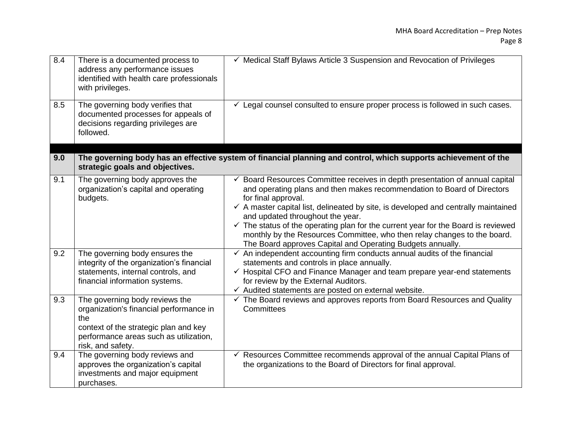| 8.4 | There is a documented process to<br>address any performance issues<br>identified with health care professionals<br>with privileges.                                                      | $\checkmark$ Medical Staff Bylaws Article 3 Suspension and Revocation of Privileges                                                                                                                                                                                                                                                                                                                                                                                                                                                                                      |
|-----|------------------------------------------------------------------------------------------------------------------------------------------------------------------------------------------|--------------------------------------------------------------------------------------------------------------------------------------------------------------------------------------------------------------------------------------------------------------------------------------------------------------------------------------------------------------------------------------------------------------------------------------------------------------------------------------------------------------------------------------------------------------------------|
| 8.5 | The governing body verifies that<br>documented processes for appeals of<br>decisions regarding privileges are<br>followed.                                                               | $\checkmark$ Legal counsel consulted to ensure proper process is followed in such cases.                                                                                                                                                                                                                                                                                                                                                                                                                                                                                 |
| 9.0 | strategic goals and objectives.                                                                                                                                                          | The governing body has an effective system of financial planning and control, which supports achievement of the                                                                                                                                                                                                                                                                                                                                                                                                                                                          |
| 9.1 | The governing body approves the<br>organization's capital and operating<br>budgets.                                                                                                      | $\checkmark$ Board Resources Committee receives in depth presentation of annual capital<br>and operating plans and then makes recommendation to Board of Directors<br>for final approval.<br>$\checkmark$ A master capital list, delineated by site, is developed and centrally maintained<br>and updated throughout the year.<br>$\checkmark$ The status of the operating plan for the current year for the Board is reviewed<br>monthly by the Resources Committee, who then relay changes to the board.<br>The Board approves Capital and Operating Budgets annually. |
| 9.2 | The governing body ensures the<br>integrity of the organization's financial<br>statements, internal controls, and<br>financial information systems.                                      | An independent accounting firm conducts annual audits of the financial<br>statements and controls in place annually.<br>$\checkmark$ Hospital CFO and Finance Manager and team prepare year-end statements<br>for review by the External Auditors.<br>$\checkmark$ Audited statements are posted on external website.                                                                                                                                                                                                                                                    |
| 9.3 | The governing body reviews the<br>organization's financial performance in<br>the<br>context of the strategic plan and key<br>performance areas such as utilization,<br>risk, and safety. | $\checkmark$ The Board reviews and approves reports from Board Resources and Quality<br>Committees                                                                                                                                                                                                                                                                                                                                                                                                                                                                       |
| 9.4 | The governing body reviews and<br>approves the organization's capital<br>investments and major equipment<br>purchases.                                                                   | ← Resources Committee recommends approval of the annual Capital Plans of<br>the organizations to the Board of Directors for final approval.                                                                                                                                                                                                                                                                                                                                                                                                                              |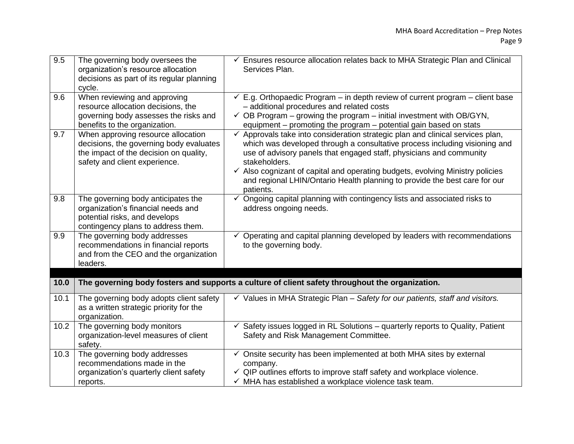| 9.5  | The governing body oversees the<br>organization's resource allocation<br>decisions as part of its regular planning<br>cycle.                             | $\checkmark$ Ensures resource allocation relates back to MHA Strategic Plan and Clinical<br>Services Plan.                                                                                                                                                                                                                                                                                                                                  |
|------|----------------------------------------------------------------------------------------------------------------------------------------------------------|---------------------------------------------------------------------------------------------------------------------------------------------------------------------------------------------------------------------------------------------------------------------------------------------------------------------------------------------------------------------------------------------------------------------------------------------|
| 9.6  | When reviewing and approving<br>resource allocation decisions, the<br>governing body assesses the risks and<br>benefits to the organization.             | $\checkmark$ E.g. Orthopaedic Program – in depth review of current program – client base<br>- additional procedures and related costs<br>$\checkmark$ OB Program – growing the program – initial investment with OB/GYN,<br>equipment – promoting the program – potential gain based on stats                                                                                                                                               |
| 9.7  | When approving resource allocation<br>decisions, the governing body evaluates<br>the impact of the decision on quality,<br>safety and client experience. | $\checkmark$ Approvals take into consideration strategic plan and clinical services plan,<br>which was developed through a consultative process including visioning and<br>use of advisory panels that engaged staff, physicians and community<br>stakeholders.<br>✓ Also cognizant of capital and operating budgets, evolving Ministry policies<br>and regional LHIN/Ontario Health planning to provide the best care for our<br>patients. |
| 9.8  | The governing body anticipates the<br>organization's financial needs and<br>potential risks, and develops<br>contingency plans to address them.          | $\checkmark$ Ongoing capital planning with contingency lists and associated risks to<br>address ongoing needs.                                                                                                                                                                                                                                                                                                                              |
| 9.9  | The governing body addresses<br>recommendations in financial reports<br>and from the CEO and the organization<br>leaders.                                | Operating and capital planning developed by leaders with recommendations<br>to the governing body.                                                                                                                                                                                                                                                                                                                                          |
| 10.0 |                                                                                                                                                          | The governing body fosters and supports a culture of client safety throughout the organization.                                                                                                                                                                                                                                                                                                                                             |
| 10.1 | The governing body adopts client safety<br>as a written strategic priority for the<br>organization.                                                      | $\checkmark$ Values in MHA Strategic Plan - Safety for our patients, staff and visitors.                                                                                                                                                                                                                                                                                                                                                    |
| 10.2 | The governing body monitors<br>organization-level measures of client<br>safety.                                                                          | Safety issues logged in RL Solutions - quarterly reports to Quality, Patient<br>✓<br>Safety and Risk Management Committee.                                                                                                                                                                                                                                                                                                                  |
| 10.3 | The governing body addresses<br>recommendations made in the<br>organization's quarterly client safety<br>reports.                                        | $\checkmark$ Onsite security has been implemented at both MHA sites by external<br>company.<br>$\checkmark$ QIP outlines efforts to improve staff safety and workplace violence.<br>$\checkmark$ MHA has established a workplace violence task team.                                                                                                                                                                                        |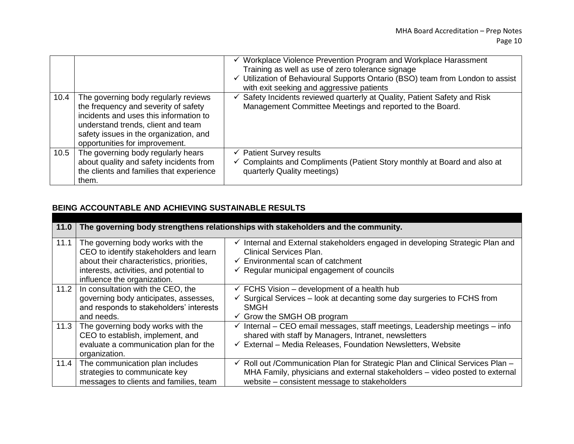|      |                                                                                                                                                                                                                                          | ✓ Workplace Violence Prevention Program and Workplace Harassment<br>Training as well as use of zero tolerance signage<br>$\checkmark$ Utilization of Behavioural Supports Ontario (BSO) team from London to assist<br>with exit seeking and aggressive patients |
|------|------------------------------------------------------------------------------------------------------------------------------------------------------------------------------------------------------------------------------------------|-----------------------------------------------------------------------------------------------------------------------------------------------------------------------------------------------------------------------------------------------------------------|
| 10.4 | The governing body regularly reviews<br>the frequency and severity of safety<br>incidents and uses this information to<br>understand trends, client and team<br>safety issues in the organization, and<br>opportunities for improvement. | ✓ Safety Incidents reviewed quarterly at Quality, Patient Safety and Risk<br>Management Committee Meetings and reported to the Board.                                                                                                                           |
| 10.5 | The governing body regularly hears<br>about quality and safety incidents from<br>the clients and families that experience<br>them.                                                                                                       | $\checkmark$ Patient Survey results<br>✓ Complaints and Compliments (Patient Story monthly at Board and also at<br>quarterly Quality meetings)                                                                                                                  |

### **BEING ACCOUNTABLE AND ACHIEVING SUSTAINABLE RESULTS**

| 11.0 |                                                                                                                                                                                                   | The governing body strengthens relationships with stakeholders and the community.                                                                                                                                         |
|------|---------------------------------------------------------------------------------------------------------------------------------------------------------------------------------------------------|---------------------------------------------------------------------------------------------------------------------------------------------------------------------------------------------------------------------------|
| 11.1 | The governing body works with the<br>CEO to identify stakeholders and learn<br>about their characteristics, priorities,<br>interests, activities, and potential to<br>influence the organization. | Internal and External stakeholders engaged in developing Strategic Plan and<br><b>Clinical Services Plan.</b><br>$\checkmark$ Environmental scan of catchment<br>$\checkmark$ Regular municipal engagement of councils    |
| 11.2 | In consultation with the CEO, the<br>governing body anticipates, assesses,<br>and responds to stakeholders' interests<br>and needs.                                                               | $\checkmark$ FCHS Vision – development of a health hub<br>$\checkmark$ Surgical Services – look at decanting some day surgeries to FCHS from<br>SMGH<br>$\checkmark$ Grow the SMGH OB program                             |
| 11.3 | The governing body works with the<br>CEO to establish, implement, and<br>evaluate a communication plan for the<br>organization.                                                                   | $\checkmark$ Internal – CEO email messages, staff meetings, Leadership meetings – info<br>shared with staff by Managers, Intranet, newsletters<br>$\checkmark$ External - Media Releases, Foundation Newsletters, Website |
| 11.4 | The communication plan includes<br>strategies to communicate key<br>messages to clients and families, team                                                                                        | $\checkmark$ Roll out / Communication Plan for Strategic Plan and Clinical Services Plan –<br>MHA Family, physicians and external stakeholders - video posted to external<br>website - consistent message to stakeholders |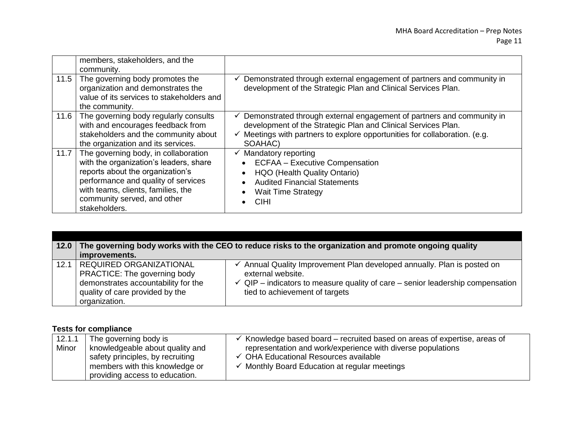|      | members, stakeholders, and the<br>community.                                                                                                                                                                                                    |                                                                                                                                                                                                                                               |
|------|-------------------------------------------------------------------------------------------------------------------------------------------------------------------------------------------------------------------------------------------------|-----------------------------------------------------------------------------------------------------------------------------------------------------------------------------------------------------------------------------------------------|
| 11.5 | The governing body promotes the<br>organization and demonstrates the<br>value of its services to stakeholders and<br>the community.                                                                                                             | Demonstrated through external engagement of partners and community in<br>✓<br>development of the Strategic Plan and Clinical Services Plan.                                                                                                   |
| 11.6 | The governing body regularly consults<br>with and encourages feedback from<br>stakeholders and the community about<br>the organization and its services.                                                                                        | Demonstrated through external engagement of partners and community in<br>$\checkmark$<br>development of the Strategic Plan and Clinical Services Plan.<br>Meetings with partners to explore opportunities for collaboration. (e.g.<br>SOAHAC) |
| 11.7 | The governing body, in collaboration<br>with the organization's leaders, share<br>reports about the organization's<br>performance and quality of services<br>with teams, clients, families, the<br>community served, and other<br>stakeholders. | Mandatory reporting<br>✓<br><b>ECFAA - Executive Compensation</b><br>HQO (Health Quality Ontario)<br><b>Audited Financial Statements</b><br><b>Wait Time Strategy</b><br><b>CIHI</b>                                                          |

| 12.0 | The governing body works with the CEO to reduce risks to the organization and promote ongoing quality<br>improvements.                                    |                                                                                                                                                                                                                           |
|------|-----------------------------------------------------------------------------------------------------------------------------------------------------------|---------------------------------------------------------------------------------------------------------------------------------------------------------------------------------------------------------------------------|
| 12.1 | <b>REQUIRED ORGANIZATIONAL</b><br>PRACTICE: The governing body<br>demonstrates accountability for the<br>quality of care provided by the<br>organization. | Annual Quality Improvement Plan developed annually. Plan is posted on<br>external website.<br>$\checkmark$ QIP – indicators to measure quality of care – senior leadership compensation<br>tied to achievement of targets |

### **Tests for compliance**

| 12.1.1 | The governing body is            | Knowledge based board – recruited based on areas of expertise, areas of |
|--------|----------------------------------|-------------------------------------------------------------------------|
| Minor  | knowledgeable about quality and  | representation and work/experience with diverse populations             |
|        | safety principles, by recruiting | $\checkmark$ OHA Educational Resources available                        |
|        | members with this knowledge or   | $\checkmark$ Monthly Board Education at regular meetings                |
|        | providing access to education.   |                                                                         |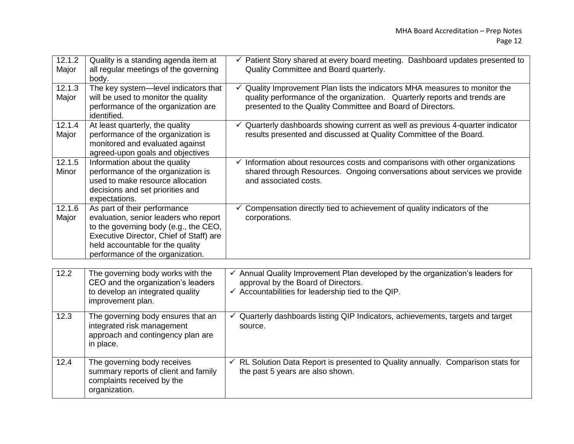| 12.1.2<br>Major | Quality is a standing agenda item at<br>all regular meetings of the governing<br>body.                                                                                                                                            | ✓ Patient Story shared at every board meeting. Dashboard updates presented to<br>Quality Committee and Board quarterly.                                                                                                   |
|-----------------|-----------------------------------------------------------------------------------------------------------------------------------------------------------------------------------------------------------------------------------|---------------------------------------------------------------------------------------------------------------------------------------------------------------------------------------------------------------------------|
| 12.1.3<br>Major | The key system-level indicators that<br>will be used to monitor the quality<br>performance of the organization are<br>identified.                                                                                                 | Quality Improvement Plan lists the indicators MHA measures to monitor the<br>✓<br>quality performance of the organization. Quarterly reports and trends are<br>presented to the Quality Committee and Board of Directors. |
| 12.1.4<br>Major | At least quarterly, the quality<br>performance of the organization is<br>monitored and evaluated against<br>agreed-upon goals and objectives                                                                                      | $\checkmark$ Quarterly dashboards showing current as well as previous 4-quarter indicator<br>results presented and discussed at Quality Committee of the Board.                                                           |
| 12.1.5<br>Minor | Information about the quality<br>performance of the organization is<br>used to make resource allocation<br>decisions and set priorities and<br>expectations.                                                                      | $\checkmark$ Information about resources costs and comparisons with other organizations<br>shared through Resources. Ongoing conversations about services we provide<br>and associated costs.                             |
| 12.1.6<br>Major | As part of their performance<br>evaluation, senior leaders who report<br>to the governing body (e.g., the CEO,<br>Executive Director, Chief of Staff) are<br>held accountable for the quality<br>performance of the organization. | $\checkmark$ Compensation directly tied to achievement of quality indicators of the<br>corporations.                                                                                                                      |
| 12.2            | The governing body works with the<br>CEO and the organization's leaders<br>to develop an integrated quality<br>improvement plan.                                                                                                  | ✓ Annual Quality Improvement Plan developed by the organization's leaders for<br>approval by the Board of Directors.<br>$\checkmark$ Accountabilities for leadership tied to the QIP.                                     |
| 12.3            | The governing body ensures that an<br>integrated risk management<br>approach and contingency plan are<br>in place.                                                                                                                | $\checkmark$ Quarterly dashboards listing QIP Indicators, achievements, targets and target<br>source.                                                                                                                     |
| 12.4            | The governing body receives<br>summary reports of client and family<br>complaints received by the<br>organization.                                                                                                                | ← RL Solution Data Report is presented to Quality annually. Comparison stats for<br>the past 5 years are also shown.                                                                                                      |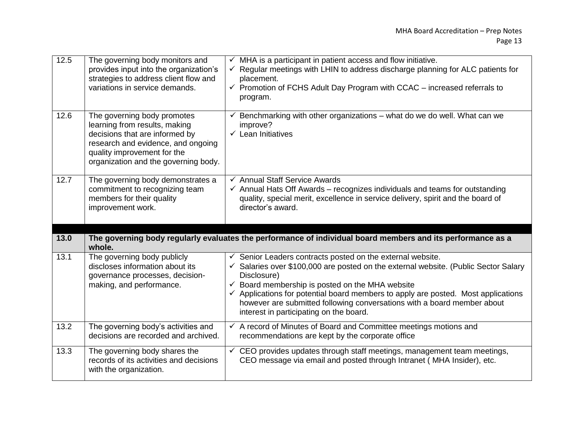| 12.5 | The governing body monitors and<br>provides input into the organization's<br>strategies to address client flow and<br>variations in service demands.                                                        | $\checkmark$ MHA is a participant in patient access and flow initiative.<br>$\checkmark$ Regular meetings with LHIN to address discharge planning for ALC patients for<br>placement.<br>$\checkmark$ Promotion of FCHS Adult Day Program with CCAC - increased referrals to<br>program.                                                                                                                                                                         |
|------|-------------------------------------------------------------------------------------------------------------------------------------------------------------------------------------------------------------|-----------------------------------------------------------------------------------------------------------------------------------------------------------------------------------------------------------------------------------------------------------------------------------------------------------------------------------------------------------------------------------------------------------------------------------------------------------------|
| 12.6 | The governing body promotes<br>learning from results, making<br>decisions that are informed by<br>research and evidence, and ongoing<br>quality improvement for the<br>organization and the governing body. | $\checkmark$ Benchmarking with other organizations – what do we do well. What can we<br>improve?<br>$\checkmark$ Lean Initiatives                                                                                                                                                                                                                                                                                                                               |
| 12.7 | The governing body demonstrates a<br>commitment to recognizing team<br>members for their quality<br>improvement work.                                                                                       | ← Annual Staff Service Awards<br>$\checkmark$ Annual Hats Off Awards - recognizes individuals and teams for outstanding<br>quality, special merit, excellence in service delivery, spirit and the board of<br>director's award.                                                                                                                                                                                                                                 |
|      |                                                                                                                                                                                                             |                                                                                                                                                                                                                                                                                                                                                                                                                                                                 |
| 13.0 | whole.                                                                                                                                                                                                      | The governing body regularly evaluates the performance of individual board members and its performance as a                                                                                                                                                                                                                                                                                                                                                     |
| 13.1 | The governing body publicly<br>discloses information about its<br>governance processes, decision-<br>making, and performance.                                                                               | $\checkmark$ Senior Leaders contracts posted on the external website.<br>✓ Salaries over \$100,000 are posted on the external website. (Public Sector Salary<br>Disclosure)<br>$\checkmark$ Board membership is posted on the MHA website<br>$\checkmark$ Applications for potential board members to apply are posted. Most applications<br>however are submitted following conversations with a board member about<br>interest in participating on the board. |
| 13.2 | The governing body's activities and<br>decisions are recorded and archived.                                                                                                                                 | $\checkmark$ A record of Minutes of Board and Committee meetings motions and<br>recommendations are kept by the corporate office                                                                                                                                                                                                                                                                                                                                |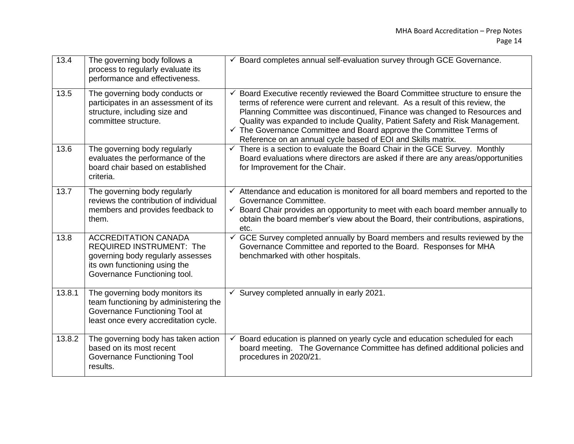| 13.4   | The governing body follows a<br>process to regularly evaluate its<br>performance and effectiveness.                                                                  | ← Board completes annual self-evaluation survey through GCE Governance.                                                                                                                                                                                                                                                                                                                                                                                                                    |
|--------|----------------------------------------------------------------------------------------------------------------------------------------------------------------------|--------------------------------------------------------------------------------------------------------------------------------------------------------------------------------------------------------------------------------------------------------------------------------------------------------------------------------------------------------------------------------------------------------------------------------------------------------------------------------------------|
| 13.5   | The governing body conducts or<br>participates in an assessment of its<br>structure, including size and<br>committee structure.                                      | $\checkmark$ Board Executive recently reviewed the Board Committee structure to ensure the<br>terms of reference were current and relevant. As a result of this review, the<br>Planning Committee was discontinued, Finance was changed to Resources and<br>Quality was expanded to include Quality, Patient Safety and Risk Management.<br>$\checkmark$ The Governance Committee and Board approve the Committee Terms of<br>Reference on an annual cycle based of EOI and Skills matrix. |
| 13.6   | The governing body regularly<br>evaluates the performance of the<br>board chair based on established<br>criteria.                                                    | $\checkmark$ There is a section to evaluate the Board Chair in the GCE Survey. Monthly<br>Board evaluations where directors are asked if there are any areas/opportunities<br>for Improvement for the Chair.                                                                                                                                                                                                                                                                               |
| 13.7   | The governing body regularly<br>reviews the contribution of individual<br>members and provides feedback to<br>them.                                                  | $\checkmark$ Attendance and education is monitored for all board members and reported to the<br>Governance Committee.<br>$\checkmark$ Board Chair provides an opportunity to meet with each board member annually to<br>obtain the board member's view about the Board, their contributions, aspirations,<br>etc.                                                                                                                                                                          |
| 13.8   | <b>ACCREDITATION CANADA</b><br><b>REQUIRED INSTRUMENT: The</b><br>governing body regularly assesses<br>its own functioning using the<br>Governance Functioning tool. | $\checkmark$ GCE Survey completed annually by Board members and results reviewed by the<br>Governance Committee and reported to the Board. Responses for MHA<br>benchmarked with other hospitals.                                                                                                                                                                                                                                                                                          |
| 13.8.1 | The governing body monitors its<br>team functioning by administering the<br>Governance Functioning Tool at<br>least once every accreditation cycle.                  | $\checkmark$ Survey completed annually in early 2021.                                                                                                                                                                                                                                                                                                                                                                                                                                      |
| 13.8.2 | The governing body has taken action<br>based on its most recent<br><b>Governance Functioning Tool</b><br>results.                                                    | Board education is planned on yearly cycle and education scheduled for each<br>$\checkmark$<br>board meeting. The Governance Committee has defined additional policies and<br>procedures in 2020/21.                                                                                                                                                                                                                                                                                       |